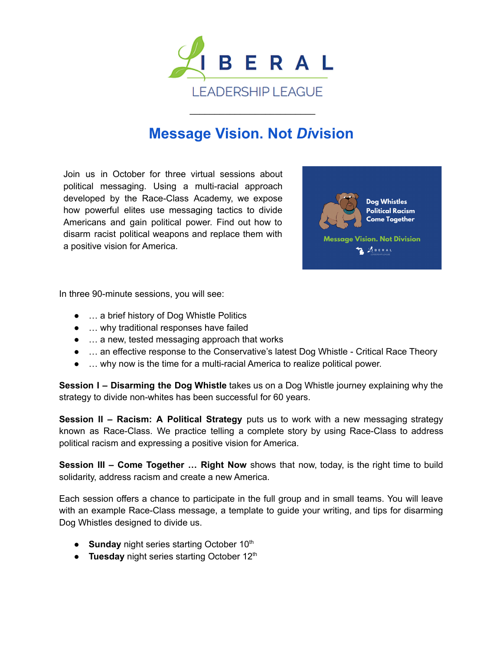

## **[Message Vision. Not](https://www.liberalleadershipleague.org/post/message-vision-not-division)** *Di***vision**

\_\_\_\_\_\_\_\_\_\_\_\_\_\_\_\_\_\_\_\_\_\_\_\_\_

Join us in October for three virtual sessions about political messaging. Using a multi-racial approach developed by the Race-Class Academy, we expose how powerful elites use messaging tactics to divide Americans and gain political power. Find out how to disarm racist political weapons and replace them with a positive vision for America.



In three 90-minute sessions, you will see:

- ... a brief history of Dog Whistle Politics
- … why traditional responses have failed
- ... a new, tested messaging approach that works
- … an effective response to the Conservative's latest Dog Whistle Critical Race Theory
- … why now is the time for a multi-racial America to realize political power.

**Session I – Disarming the Dog Whistle** takes us on a Dog Whistle journey explaining why the strategy to divide non-whites has been successful for 60 years.

**Session II – Racism: A Political Strategy** puts us to work with a new messaging strategy known as Race-Class. We practice telling a complete story by using Race-Class to address political racism and expressing a positive vision for America.

**Session III – Come Together … Right Now** shows that now, today, is the right time to build solidarity, address racism and create a new America.

Each session offers a chance to participate in the full group and in small teams. You will leave with an example Race-Class message, a template to guide your writing, and tips for disarming Dog Whistles designed to divide us.

- Sunday night series starting October 10<sup>th</sup>
- **Tuesday** night series starting October 12<sup>th</sup>